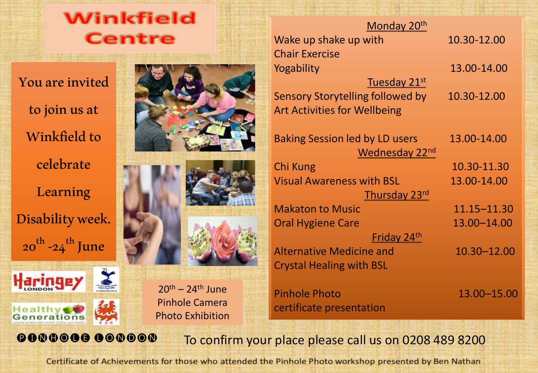

You are invited to join us at Winkfield to celebrate Learning **Disability** week. 20 -24 June





 $20<sup>th</sup> - 24<sup>th</sup>$  June Pinhole Camera Photo Exhibition



| Monday 20 <sup>th</sup>               |               |
|---------------------------------------|---------------|
| Wake up shake up with                 | 10.30-12.00   |
| <b>Chair Exercise</b>                 |               |
| Yogability                            | 13.00-14.00   |
| Tuesday 21st                          |               |
| Sensory Storytelling followed by      | 10.30-12.00   |
| <b>Art Activities for Wellbeing</b>   |               |
| <b>Baking Session led by LD users</b> | 13.00-14.00   |
| Wednesday 22nd                        |               |
| Chi Kung                              | 10.30-11.30   |
| <b>Visual Awareness with BSL</b>      | 13.00-14.00   |
| Thursday 23rd                         |               |
| <b>Makaton to Music</b>               | 11.15-11.30   |
| Oral Hygiene Care                     | 13.00-14.00   |
| Friday 24 <sup>th</sup>               |               |
| <b>Alternative Medicine and</b>       | 10.30-12.00   |
| <b>Crystal Healing with BSL</b>       |               |
| <b>Pinhole Photo</b>                  | 13.00 - 15.00 |

**@000000 CONDON** To confirm your place please call us on 0208 489 8200

certificate presentation

Certificate of Achievements for those who attended the Pinhole Photo workshop presented by Ben Nathan